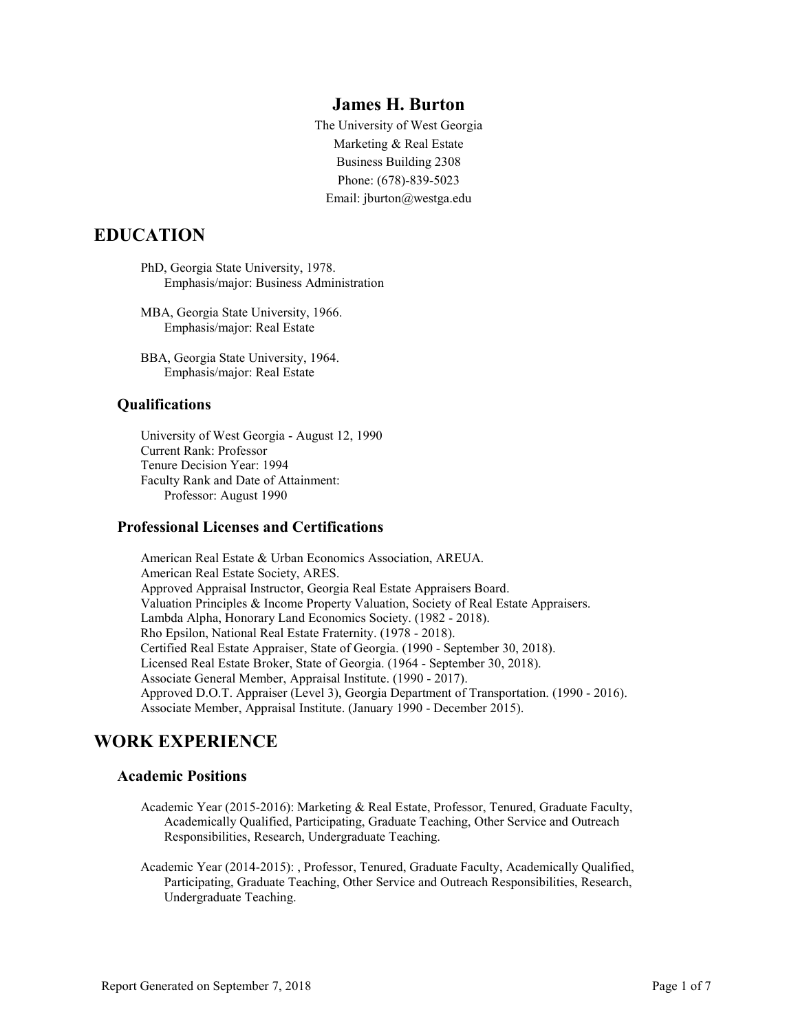# **James H. Burton**

The University of West Georgia Marketing & Real Estate Business Building 2308 Phone: (678)-839-5023 Email: jburton@westga.edu

# **EDUCATION**

PhD, Georgia State University, 1978. Emphasis/major: Business Administration

MBA, Georgia State University, 1966. Emphasis/major: Real Estate

BBA, Georgia State University, 1964. Emphasis/major: Real Estate

# **Qualifications**

University of West Georgia - August 12, 1990 Current Rank: Professor Tenure Decision Year: 1994 Faculty Rank and Date of Attainment: Professor: August 1990

# **Professional Licenses and Certifications**

American Real Estate & Urban Economics Association, AREUA. American Real Estate Society, ARES. Approved Appraisal Instructor, Georgia Real Estate Appraisers Board. Valuation Principles & Income Property Valuation, Society of Real Estate Appraisers. Lambda Alpha, Honorary Land Economics Society. (1982 - 2018). Rho Epsilon, National Real Estate Fraternity. (1978 - 2018). Certified Real Estate Appraiser, State of Georgia. (1990 - September 30, 2018). Licensed Real Estate Broker, State of Georgia. (1964 - September 30, 2018). Associate General Member, Appraisal Institute. (1990 - 2017). Approved D.O.T. Appraiser (Level 3), Georgia Department of Transportation. (1990 - 2016). Associate Member, Appraisal Institute. (January 1990 - December 2015).

# **WORK EXPERIENCE**

# **Academic Positions**

- Academic Year (2015-2016): Marketing & Real Estate, Professor, Tenured, Graduate Faculty, Academically Qualified, Participating, Graduate Teaching, Other Service and Outreach Responsibilities, Research, Undergraduate Teaching.
- Academic Year (2014-2015): , Professor, Tenured, Graduate Faculty, Academically Qualified, Participating, Graduate Teaching, Other Service and Outreach Responsibilities, Research, Undergraduate Teaching.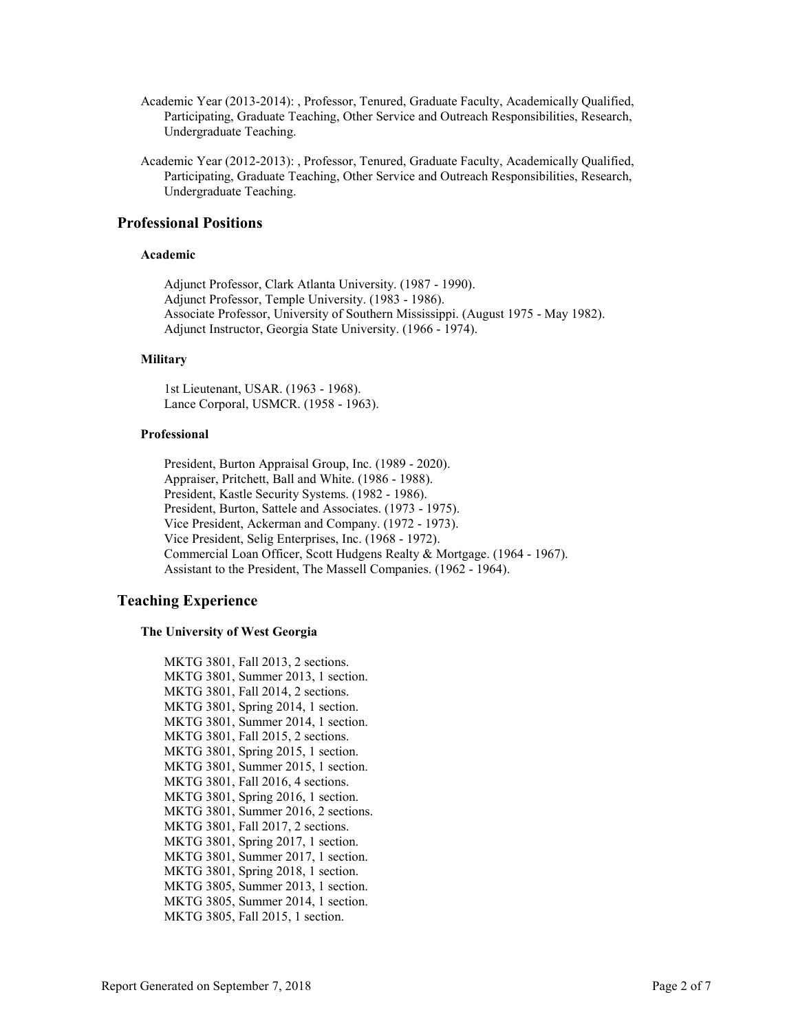- Academic Year (2013-2014): , Professor, Tenured, Graduate Faculty, Academically Qualified, Participating, Graduate Teaching, Other Service and Outreach Responsibilities, Research, Undergraduate Teaching.
- Academic Year (2012-2013): , Professor, Tenured, Graduate Faculty, Academically Qualified, Participating, Graduate Teaching, Other Service and Outreach Responsibilities, Research, Undergraduate Teaching.

### **Professional Positions**

### **Academic**

Adjunct Professor, Clark Atlanta University. (1987 - 1990). Adjunct Professor, Temple University. (1983 - 1986). Associate Professor, University of Southern Mississippi. (August 1975 - May 1982). Adjunct Instructor, Georgia State University. (1966 - 1974).

### **Military**

1st Lieutenant, USAR. (1963 - 1968). Lance Corporal, USMCR. (1958 - 1963).

### **Professional**

President, Burton Appraisal Group, Inc. (1989 - 2020). Appraiser, Pritchett, Ball and White. (1986 - 1988). President, Kastle Security Systems. (1982 - 1986). President, Burton, Sattele and Associates. (1973 - 1975). Vice President, Ackerman and Company. (1972 - 1973). Vice President, Selig Enterprises, Inc. (1968 - 1972). Commercial Loan Officer, Scott Hudgens Realty & Mortgage. (1964 - 1967). Assistant to the President, The Massell Companies. (1962 - 1964).

# **Teaching Experience**

### **The University of West Georgia**

MKTG 3801, Fall 2013, 2 sections. MKTG 3801, Summer 2013, 1 section. MKTG 3801, Fall 2014, 2 sections. MKTG 3801, Spring 2014, 1 section. MKTG 3801, Summer 2014, 1 section. MKTG 3801, Fall 2015, 2 sections. MKTG 3801, Spring 2015, 1 section. MKTG 3801, Summer 2015, 1 section. MKTG 3801, Fall 2016, 4 sections. MKTG 3801, Spring 2016, 1 section. MKTG 3801, Summer 2016, 2 sections. MKTG 3801, Fall 2017, 2 sections. MKTG 3801, Spring 2017, 1 section. MKTG 3801, Summer 2017, 1 section. MKTG 3801, Spring 2018, 1 section. MKTG 3805, Summer 2013, 1 section. MKTG 3805, Summer 2014, 1 section. MKTG 3805, Fall 2015, 1 section.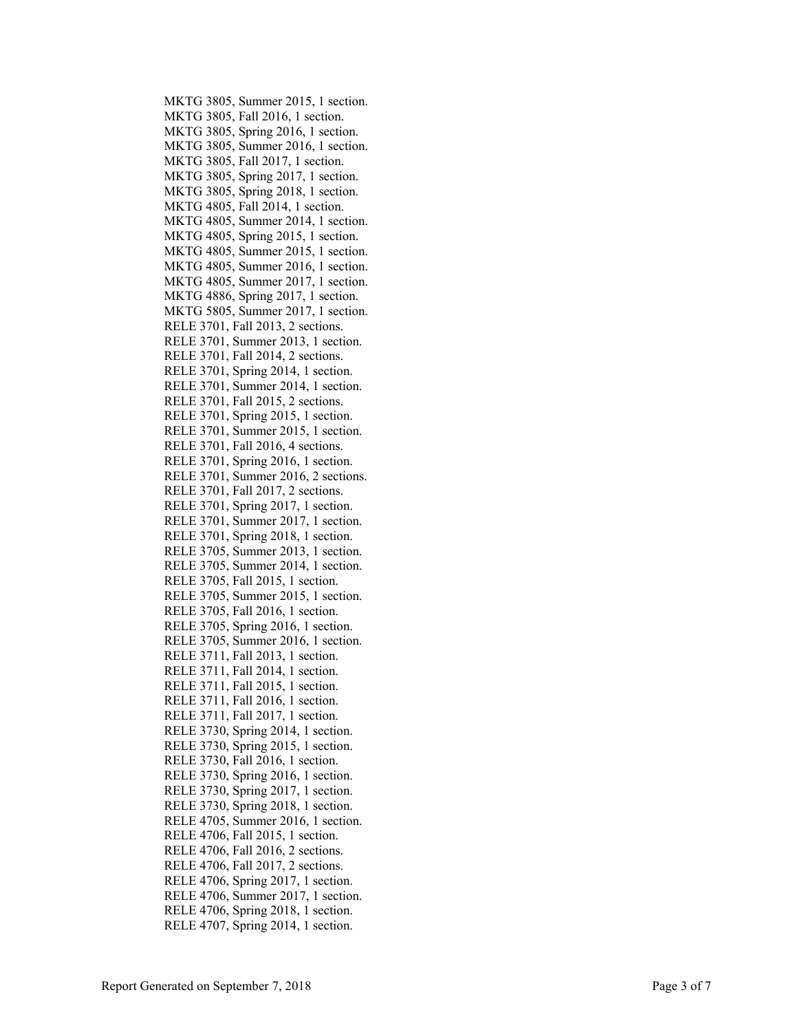MKTG 3805, Summer 2015, 1 section. MKTG 3805, Fall 2016, 1 section. MKTG 3805, Spring 2016, 1 section. MKTG 3805, Summer 2016, 1 section. MKTG 3805, Fall 2017, 1 section. MKTG 3805, Spring 2017, 1 section. MKTG 3805, Spring 2018, 1 section. MKTG 4805, Fall 2014, 1 section. MKTG 4805, Summer 2014, 1 section. MKTG 4805, Spring 2015, 1 section. MKTG 4805, Summer 2015, 1 section. MKTG 4805, Summer 2016, 1 section. MKTG 4805, Summer 2017, 1 section. MKTG 4886, Spring 2017, 1 section. MKTG 5805, Summer 2017, 1 section. RELE 3701, Fall 2013, 2 sections. RELE 3701, Summer 2013, 1 section. RELE 3701, Fall 2014, 2 sections. RELE 3701, Spring 2014, 1 section. RELE 3701, Summer 2014, 1 section. RELE 3701, Fall 2015, 2 sections. RELE 3701, Spring 2015, 1 section. RELE 3701, Summer 2015, 1 section. RELE 3701, Fall 2016, 4 sections. RELE 3701, Spring 2016, 1 section. RELE 3701, Summer 2016, 2 sections. RELE 3701, Fall 2017, 2 sections. RELE 3701, Spring 2017, 1 section. RELE 3701, Summer 2017, 1 section. RELE 3701, Spring 2018, 1 section. RELE 3705, Summer 2013, 1 section. RELE 3705, Summer 2014, 1 section. RELE 3705, Fall 2015, 1 section. RELE 3705, Summer 2015, 1 section. RELE 3705, Fall 2016, 1 section. RELE 3705, Spring 2016, 1 section. RELE 3705, Summer 2016, 1 section. RELE 3711, Fall 2013, 1 section. RELE 3711, Fall 2014, 1 section. RELE 3711, Fall 2015, 1 section. RELE 3711, Fall 2016, 1 section. RELE 3711, Fall 2017, 1 section. RELE 3730, Spring 2014, 1 section. RELE 3730, Spring 2015, 1 section. RELE 3730, Fall 2016, 1 section. RELE 3730, Spring 2016, 1 section. RELE 3730, Spring 2017, 1 section. RELE 3730, Spring 2018, 1 section. RELE 4705, Summer 2016, 1 section. RELE 4706, Fall 2015, 1 section. RELE 4706, Fall 2016, 2 sections. RELE 4706, Fall 2017, 2 sections. RELE 4706, Spring 2017, 1 section. RELE 4706, Summer 2017, 1 section. RELE 4706, Spring 2018, 1 section. RELE 4707, Spring 2014, 1 section.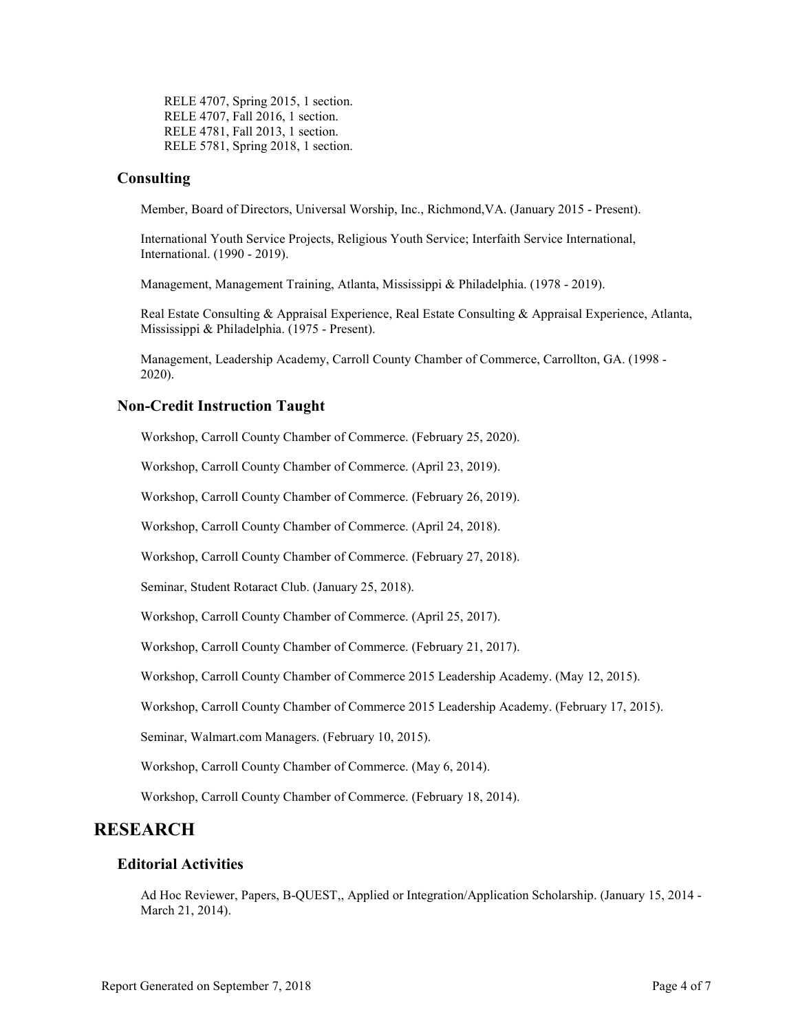RELE 4707, Spring 2015, 1 section. RELE 4707, Fall 2016, 1 section. RELE 4781, Fall 2013, 1 section. RELE 5781, Spring 2018, 1 section.

# **Consulting**

Member, Board of Directors, Universal Worship, Inc., Richmond,VA. (January 2015 - Present).

International Youth Service Projects, Religious Youth Service; Interfaith Service International, International. (1990 - 2019).

Management, Management Training, Atlanta, Mississippi & Philadelphia. (1978 - 2019).

Real Estate Consulting & Appraisal Experience, Real Estate Consulting & Appraisal Experience, Atlanta, Mississippi & Philadelphia. (1975 - Present).

Management, Leadership Academy, Carroll County Chamber of Commerce, Carrollton, GA. (1998 - 2020).

# **Non-Credit Instruction Taught**

Workshop, Carroll County Chamber of Commerce. (February 25, 2020).

Workshop, Carroll County Chamber of Commerce. (April 23, 2019).

Workshop, Carroll County Chamber of Commerce. (February 26, 2019).

Workshop, Carroll County Chamber of Commerce. (April 24, 2018).

Workshop, Carroll County Chamber of Commerce. (February 27, 2018).

Seminar, Student Rotaract Club. (January 25, 2018).

Workshop, Carroll County Chamber of Commerce. (April 25, 2017).

Workshop, Carroll County Chamber of Commerce. (February 21, 2017).

Workshop, Carroll County Chamber of Commerce 2015 Leadership Academy. (May 12, 2015).

Workshop, Carroll County Chamber of Commerce 2015 Leadership Academy. (February 17, 2015).

Seminar, Walmart.com Managers. (February 10, 2015).

Workshop, Carroll County Chamber of Commerce. (May 6, 2014).

Workshop, Carroll County Chamber of Commerce. (February 18, 2014).

# **RESEARCH**

### **Editorial Activities**

Ad Hoc Reviewer, Papers, B-QUEST,, Applied or Integration/Application Scholarship. (January 15, 2014 - March 21, 2014).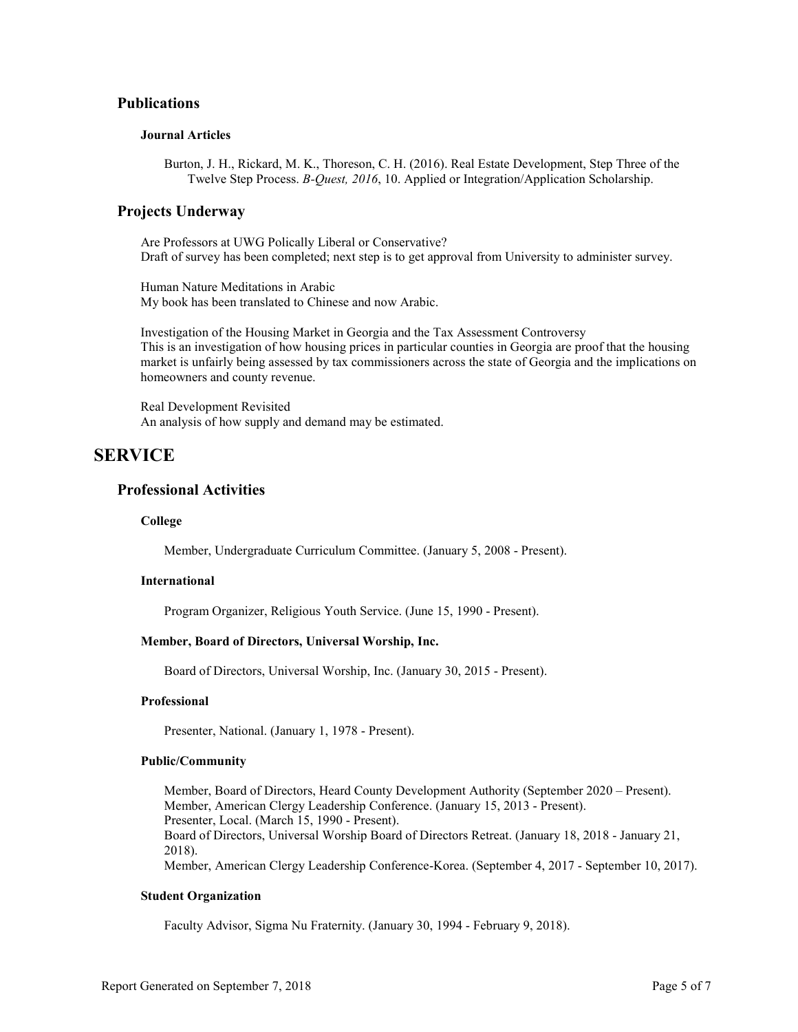### **Publications**

### **Journal Articles**

Burton, J. H., Rickard, M. K., Thoreson, C. H. (2016). Real Estate Development, Step Three of the Twelve Step Process. *B-Quest, 2016*, 10. Applied or Integration/Application Scholarship.

### **Projects Underway**

Are Professors at UWG Polically Liberal or Conservative? Draft of survey has been completed; next step is to get approval from University to administer survey.

Human Nature Meditations in Arabic My book has been translated to Chinese and now Arabic.

Investigation of the Housing Market in Georgia and the Tax Assessment Controversy This is an investigation of how housing prices in particular counties in Georgia are proof that the housing market is unfairly being assessed by tax commissioners across the state of Georgia and the implications on homeowners and county revenue.

Real Development Revisited An analysis of how supply and demand may be estimated.

# **SERVICE**

### **Professional Activities**

#### **College**

Member, Undergraduate Curriculum Committee. (January 5, 2008 - Present).

#### **International**

Program Organizer, Religious Youth Service. (June 15, 1990 - Present).

### **Member, Board of Directors, Universal Worship, Inc.**

Board of Directors, Universal Worship, Inc. (January 30, 2015 - Present).

### **Professional**

Presenter, National. (January 1, 1978 - Present).

### **Public/Community**

Member, Board of Directors, Heard County Development Authority (September 2020 – Present). Member, American Clergy Leadership Conference. (January 15, 2013 - Present). Presenter, Local. (March 15, 1990 - Present). Board of Directors, Universal Worship Board of Directors Retreat. (January 18, 2018 - January 21, 2018). Member, American Clergy Leadership Conference-Korea. (September 4, 2017 - September 10, 2017).

#### **Student Organization**

Faculty Advisor, Sigma Nu Fraternity. (January 30, 1994 - February 9, 2018).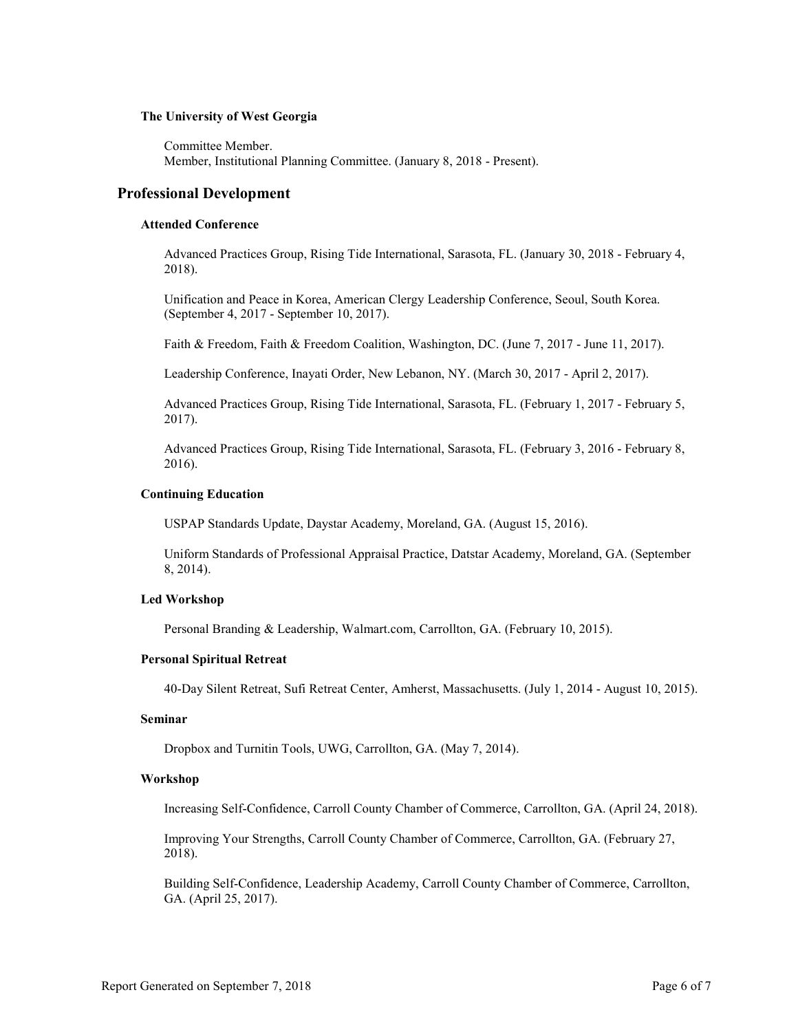#### **The University of West Georgia**

Committee Member. Member, Institutional Planning Committee. (January 8, 2018 - Present).

### **Professional Development**

### **Attended Conference**

Advanced Practices Group, Rising Tide International, Sarasota, FL. (January 30, 2018 - February 4, 2018).

Unification and Peace in Korea, American Clergy Leadership Conference, Seoul, South Korea. (September 4, 2017 - September 10, 2017).

Faith & Freedom, Faith & Freedom Coalition, Washington, DC. (June 7, 2017 - June 11, 2017).

Leadership Conference, Inayati Order, New Lebanon, NY. (March 30, 2017 - April 2, 2017).

Advanced Practices Group, Rising Tide International, Sarasota, FL. (February 1, 2017 - February 5, 2017).

Advanced Practices Group, Rising Tide International, Sarasota, FL. (February 3, 2016 - February 8, 2016).

#### **Continuing Education**

USPAP Standards Update, Daystar Academy, Moreland, GA. (August 15, 2016).

Uniform Standards of Professional Appraisal Practice, Datstar Academy, Moreland, GA. (September 8, 2014).

### **Led Workshop**

Personal Branding & Leadership, Walmart.com, Carrollton, GA. (February 10, 2015).

#### **Personal Spiritual Retreat**

40-Day Silent Retreat, Sufi Retreat Center, Amherst, Massachusetts. (July 1, 2014 - August 10, 2015).

#### **Seminar**

Dropbox and Turnitin Tools, UWG, Carrollton, GA. (May 7, 2014).

### **Workshop**

Increasing Self-Confidence, Carroll County Chamber of Commerce, Carrollton, GA. (April 24, 2018).

Improving Your Strengths, Carroll County Chamber of Commerce, Carrollton, GA. (February 27, 2018).

Building Self-Confidence, Leadership Academy, Carroll County Chamber of Commerce, Carrollton, GA. (April 25, 2017).